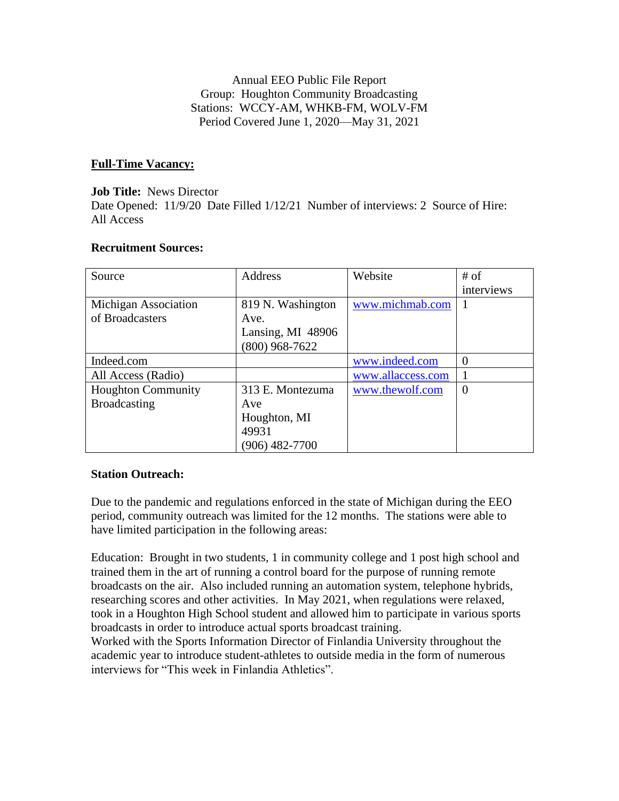## Annual EEO Public File Report Group: Houghton Community Broadcasting Stations: WCCY-AM, WHKB-FM, WOLV-FM Period Covered June 1, 2020—May 31, 2021

## **Full-Time Vacancy:**

**Job Title:** News Director Date Opened: 11/9/20 Date Filled 1/12/21 Number of interviews: 2 Source of Hire: All Access

## **Recruitment Sources:**

| Source                    | <b>Address</b>    | Website           | $#$ of     |
|---------------------------|-------------------|-------------------|------------|
|                           |                   |                   | interviews |
| Michigan Association      | 819 N. Washington | www.michmab.com   | 1          |
| of Broadcasters           | Ave.              |                   |            |
|                           | Lansing, MI 48906 |                   |            |
|                           | $(800)$ 968-7622  |                   |            |
| Indeed.com                |                   | www.indeed.com    | $\Omega$   |
| All Access (Radio)        |                   | www.allaccess.com |            |
| <b>Houghton Community</b> | 313 E. Montezuma  | www.thewolf.com   | $\theta$   |
| <b>Broadcasting</b>       | Ave               |                   |            |
|                           | Houghton, MI      |                   |            |
|                           | 49931             |                   |            |
|                           | $(906)$ 482-7700  |                   |            |

## **Station Outreach:**

Due to the pandemic and regulations enforced in the state of Michigan during the EEO period, community outreach was limited for the 12 months. The stations were able to have limited participation in the following areas:

Education: Brought in two students, 1 in community college and 1 post high school and trained them in the art of running a control board for the purpose of running remote broadcasts on the air. Also included running an automation system, telephone hybrids, researching scores and other activities. In May 2021, when regulations were relaxed, took in a Houghton High School student and allowed him to participate in various sports broadcasts in order to introduce actual sports broadcast training.

Worked with the Sports Information Director of Finlandia University throughout the academic year to introduce student-athletes to outside media in the form of numerous interviews for "This week in Finlandia Athletics".